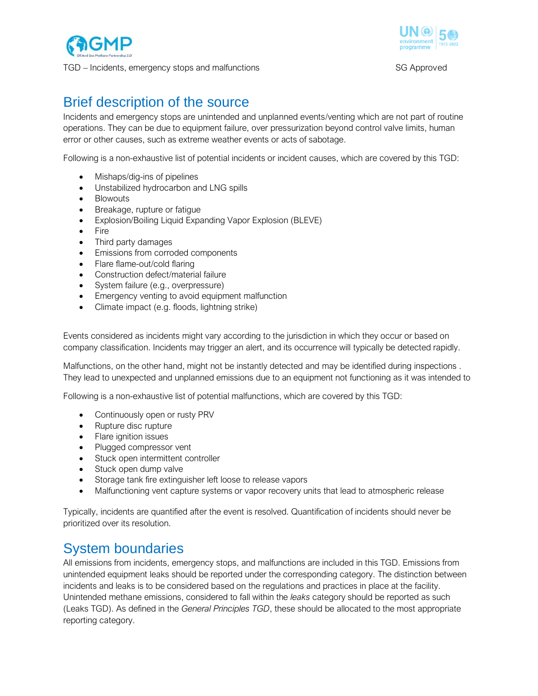



# Brief description of the source

Incidents and emergency stops are unintended and unplanned events/venting which are not part of routine operations. They can be due to equipment failure, over pressurization beyond control valve limits, human error or other causes, such as extreme weather events or acts of sabotage.

Following is a non-exhaustive list of potential incidents or incident causes, which are covered by this TGD:

- Mishaps/dig-ins of pipelines
- Unstabilized hydrocarbon and LNG spills
- Blowouts
- Breakage, rupture or fatigue
- Explosion/Boiling Liquid Expanding Vapor Explosion (BLEVE)
- Fire
- Third party damages
- Emissions from corroded components
- Flare flame-out/cold flaring
- Construction defect/material failure
- System failure (e.g., overpressure)
- Emergency venting to avoid equipment malfunction
- Climate impact (e.g. floods, lightning strike)

Events considered as incidents might vary according to the jurisdiction in which they occur or based on company classification. Incidents may trigger an alert, and its occurrence will typically be detected rapidly.

Malfunctions, on the other hand, might not be instantly detected and may be identified during inspections . They lead to unexpected and unplanned emissions due to an equipment not functioning as it was intended to

Following is a non-exhaustive list of potential malfunctions, which are covered by this TGD:

- Continuously open or rusty PRV
- Rupture disc rupture
- Flare ignition issues
- Plugged compressor vent
- Stuck open intermittent controller
- Stuck open dump valve
- Storage tank fire extinguisher left loose to release vapors
- Malfunctioning vent capture systems or vapor recovery units that lead to atmospheric release

Typically, incidents are quantified after the event is resolved. Quantification of incidents should never be prioritized over its resolution.

## System boundaries

All emissions from incidents, emergency stops, and malfunctions are included in this TGD. Emissions from unintended equipment leaks should be reported under the corresponding category. The distinction between incidents and leaks is to be considered based on the regulations and practices in place at the facility. Unintended methane emissions, considered to fall within the *leaks* category should be reported as such (Leaks TGD). As defined in the *General Principles TGD*, these should be allocated to the most appropriate reporting category.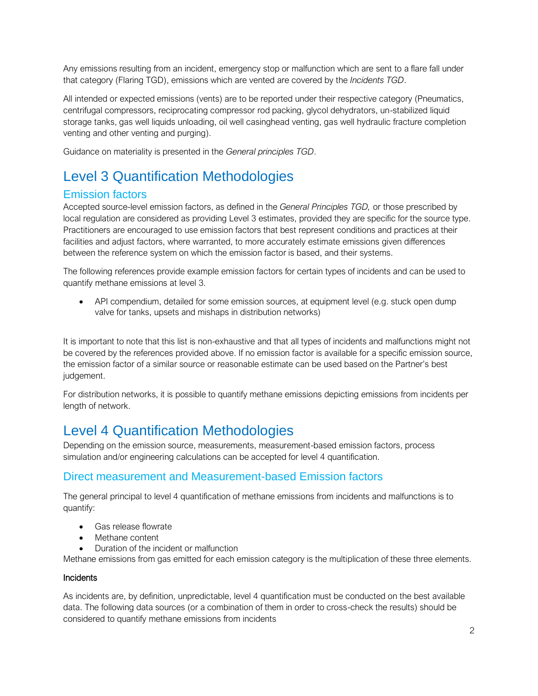Any emissions resulting from an incident, emergency stop or malfunction which are sent to a flare fall under that category (Flaring TGD), emissions which are vented are covered by the *Incidents TGD*.

All intended or expected emissions (vents) are to be reported under their respective category (Pneumatics, centrifugal compressors, reciprocating compressor rod packing, glycol dehydrators, un-stabilized liquid storage tanks, gas well liquids unloading, oil well casinghead venting, gas well hydraulic fracture completion venting and other venting and purging).

Guidance on materiality is presented in the *General principles TGD*.

## Level 3 Quantification Methodologies

### Emission factors

Accepted source-level emission factors, as defined in the *General Principles TGD,* or those prescribed by local regulation are considered as providing Level 3 estimates, provided they are specific for the source type. Practitioners are encouraged to use emission factors that best represent conditions and practices at their facilities and adjust factors, where warranted, to more accurately estimate emissions given differences between the reference system on which the emission factor is based, and their systems.

The following references provide example emission factors for certain types of incidents and can be used to quantify methane emissions at level 3.

• API compendium, detailed for some emission sources, at equipment level (e.g. stuck open dump valve for tanks, upsets and mishaps in distribution networks)

It is important to note that this list is non-exhaustive and that all types of incidents and malfunctions might not be covered by the references provided above. If no emission factor is available for a specific emission source, the emission factor of a similar source or reasonable estimate can be used based on the Partner's best judgement.

For distribution networks, it is possible to quantify methane emissions depicting emissions from incidents per length of network.

# Level 4 Quantification Methodologies

Depending on the emission source, measurements, measurement-based emission factors, process simulation and/or engineering calculations can be accepted for level 4 quantification.

### Direct measurement and Measurement-based Emission factors

The general principal to level 4 quantification of methane emissions from incidents and malfunctions is to quantify:

- Gas release flowrate
- Methane content
- Duration of the incident or malfunction

Methane emissions from gas emitted for each emission category is the multiplication of these three elements.

#### **Incidents**

As incidents are, by definition, unpredictable, level 4 quantification must be conducted on the best available data. The following data sources (or a combination of them in order to cross-check the results) should be considered to quantify methane emissions from incidents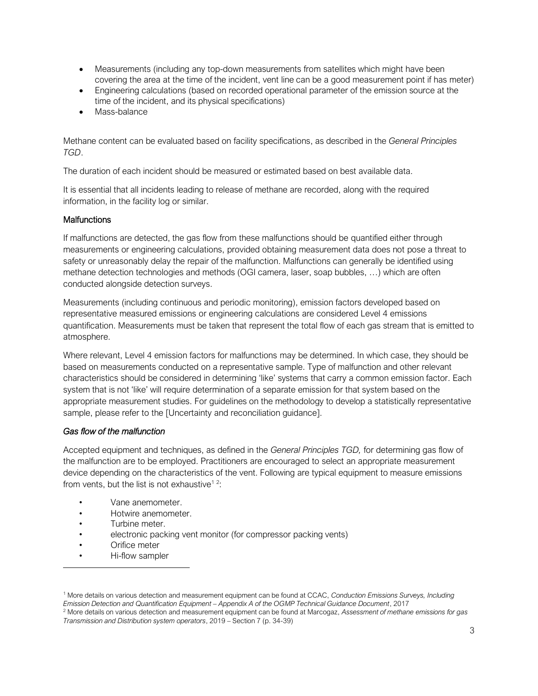- Measurements (including any top-down measurements from satellites which might have been covering the area at the time of the incident, vent line can be a good measurement point if has meter)
- Engineering calculations (based on recorded operational parameter of the emission source at the time of the incident, and its physical specifications)
- Mass-balance

Methane content can be evaluated based on facility specifications, as described in the *General Principles TGD*.

The duration of each incident should be measured or estimated based on best available data.

It is essential that all incidents leading to release of methane are recorded, along with the required information, in the facility log or similar.

#### **Malfunctions**

If malfunctions are detected, the gas flow from these malfunctions should be quantified either through measurements or engineering calculations, provided obtaining measurement data does not pose a threat to safety or unreasonably delay the repair of the malfunction. Malfunctions can generally be identified using methane detection technologies and methods (OGI camera, laser, soap bubbles, …) which are often conducted alongside detection surveys.

Measurements (including continuous and periodic monitoring), emission factors developed based on representative measured emissions or engineering calculations are considered Level 4 emissions quantification. Measurements must be taken that represent the total flow of each gas stream that is emitted to atmosphere.

Where relevant, Level 4 emission factors for malfunctions may be determined. In which case, they should be based on measurements conducted on a representative sample. Type of malfunction and other relevant characteristics should be considered in determining 'like' systems that carry a common emission factor. Each system that is not 'like' will require determination of a separate emission for that system based on the appropriate measurement studies. For guidelines on the methodology to develop a statistically representative sample, please refer to the [Uncertainty and reconciliation guidance].

#### *Gas flow of the malfunction*

Accepted equipment and techniques, as defined in the *General Principles TGD,* for determining gas flow of the malfunction are to be employed. Practitioners are encouraged to select an appropriate measurement device depending on the characteristics of the vent. Following are typical equipment to measure emissions from vents, but the list is not exhaustive<sup>12</sup>:

- Vane anemometer.
- Hotwire anemometer.
- Turbine meter.
- electronic packing vent monitor (for compressor packing vents)
- Orifice meter
- Hi-flow sampler

<sup>1</sup> More details on various detection and measurement equipment can be found at CCAC, *Conduction Emissions Surveys, Including Emission Detection and Quantification Equipment – Appendix A of the OGMP Technical Guidance Document*, 2017

<sup>2</sup> More details on various detection and measurement equipment can be found at Marcogaz, *Assessment of methane emissions for gas Transmission and Distribution system operators*, 2019 – Section 7 (p. 34-39)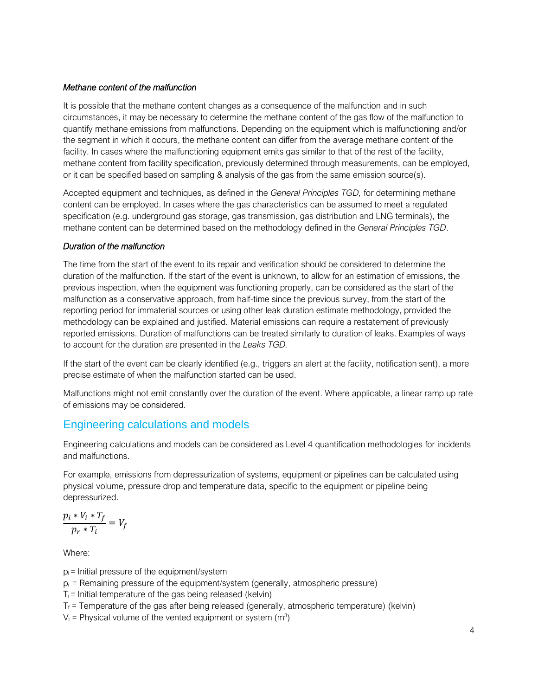#### *Methane content of the malfunction*

It is possible that the methane content changes as a consequence of the malfunction and in such circumstances, it may be necessary to determine the methane content of the gas flow of the malfunction to quantify methane emissions from malfunctions. Depending on the equipment which is malfunctioning and/or the segment in which it occurs, the methane content can differ from the average methane content of the facility. In cases where the malfunctioning equipment emits gas similar to that of the rest of the facility, methane content from facility specification, previously determined through measurements, can be employed, or it can be specified based on sampling & analysis of the gas from the same emission source(s).

Accepted equipment and techniques, as defined in the *General Principles TGD,* for determining methane content can be employed. In cases where the gas characteristics can be assumed to meet a regulated specification (e.g. underground gas storage, gas transmission, gas distribution and LNG terminals), the methane content can be determined based on the methodology defined in the *General Principles TGD*.

#### *Duration of the malfunction*

The time from the start of the event to its repair and verification should be considered to determine the duration of the malfunction. If the start of the event is unknown, to allow for an estimation of emissions, the previous inspection, when the equipment was functioning properly, can be considered as the start of the malfunction as a conservative approach, from half-time since the previous survey, from the start of the reporting period for immaterial sources or using other leak duration estimate methodology, provided the methodology can be explained and justified. Material emissions can require a restatement of previously reported emissions. Duration of malfunctions can be treated similarly to duration of leaks. Examples of ways to account for the duration are presented in the *Leaks TGD.*

If the start of the event can be clearly identified (e.g., triggers an alert at the facility, notification sent), a more precise estimate of when the malfunction started can be used.

Malfunctions might not emit constantly over the duration of the event. Where applicable, a linear ramp up rate of emissions may be considered.

## Engineering calculations and models

Engineering calculations and models can be considered as Level 4 quantification methodologies for incidents and malfunctions.

For example, emissions from depressurization of systems, equipment or pipelines can be calculated using physical volume, pressure drop and temperature data, specific to the equipment or pipeline being depressurized.

$$
\frac{p_i * V_i * T_f}{p_r * T_i} = V_f
$$

Where:

 $p_i$  = Initial pressure of the equipment/system

 $p_r$  = Remaining pressure of the equipment/system (generally, atmospheric pressure)

 $T_i$  = Initial temperature of the gas being released (kelvin)

 $T_f$  = Temperature of the gas after being released (generally, atmospheric temperature) (kelvin)

 $V_i$  = Physical volume of the vented equipment or system (m<sup>3</sup>)